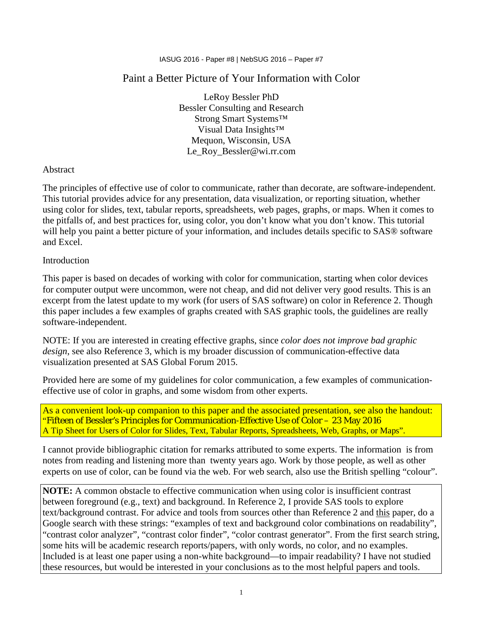### Paint a Better Picture of Your Information with Color

LeRoy Bessler PhD Bessler Consulting and Research Strong Smart Systems™ Visual Data Insights™ Mequon, Wisconsin, USA Le\_Roy\_Bessler@wi.rr.com

#### Abstract

The principles of effective use of color to communicate, rather than decorate, are software-independent. This tutorial provides advice for any presentation, data visualization, or reporting situation, whether using color for slides, text, tabular reports, spreadsheets, web pages, graphs, or maps. When it comes to the pitfalls of, and best practices for, using color, you don't know what you don't know. This tutorial will help you paint a better picture of your information, and includes details specific to SAS® software and Excel.

#### Introduction

This paper is based on decades of working with color for communication, starting when color devices for computer output were uncommon, were not cheap, and did not deliver very good results. This is an excerpt from the latest update to my work (for users of SAS software) on color in Reference 2. Though this paper includes a few examples of graphs created with SAS graphic tools, the guidelines are really software-independent.

NOTE: If you are interested in creating effective graphs, since *color does not improve bad graphic design*, see also Reference 3, which is my broader discussion of communication-effective data visualization presented at SAS Global Forum 2015.

Provided here are some of my guidelines for color communication, a few examples of communicationeffective use of color in graphs, and some wisdom from other experts.

As a convenient look-up companion to this paper and the associated presentation, see also the handout: "Fifteen of Bessler's Principles for Communication-Effective Use of Color – 23 May 2016 A Tip Sheet for Users of Color for Slides, Text, Tabular Reports, Spreadsheets, Web, Graphs, or Maps".

I cannot provide bibliographic citation for remarks attributed to some experts. The information is from notes from reading and listening more than twenty years ago. Work by those people, as well as other experts on use of color, can be found via the web. For web search, also use the British spelling "colour".

**NOTE:** A common obstacle to effective communication when using color is insufficient contrast between foreground (e.g., text) and background. In Reference 2, I provide SAS tools to explore text/background contrast. For advice and tools from sources other than Reference 2 and this paper, do a Google search with these strings: "examples of text and background color combinations on readability", "contrast color analyzer", "contrast color finder", "color contrast generator". From the first search string, some hits will be academic research reports/papers, with only words, no color, and no examples. Included is at least one paper using a non-white background—to impair readability? I have not studied these resources, but would be interested in your conclusions as to the most helpful papers and tools.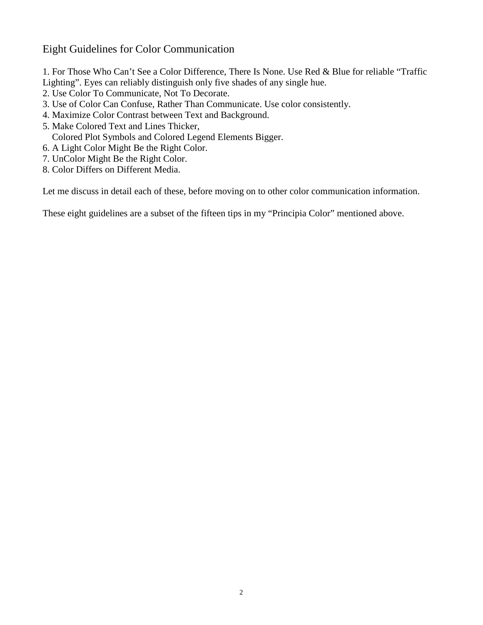### Eight Guidelines for Color Communication

1. For Those Who Can't See a Color Difference, There Is None. Use Red & Blue for reliable "Traffic Lighting". Eyes can reliably distinguish only five shades of any single hue.

- 2. Use Color To Communicate, Not To Decorate.
- 3. Use of Color Can Confuse, Rather Than Communicate. Use color consistently.
- 4. Maximize Color Contrast between Text and Background.
- 5. Make Colored Text and Lines Thicker,

Colored Plot Symbols and Colored Legend Elements Bigger.

- 6. A Light Color Might Be the Right Color.
- 7. UnColor Might Be the Right Color.
- 8. Color Differs on Different Media.

Let me discuss in detail each of these, before moving on to other color communication information.

These eight guidelines are a subset of the fifteen tips in my "Principia Color" mentioned above.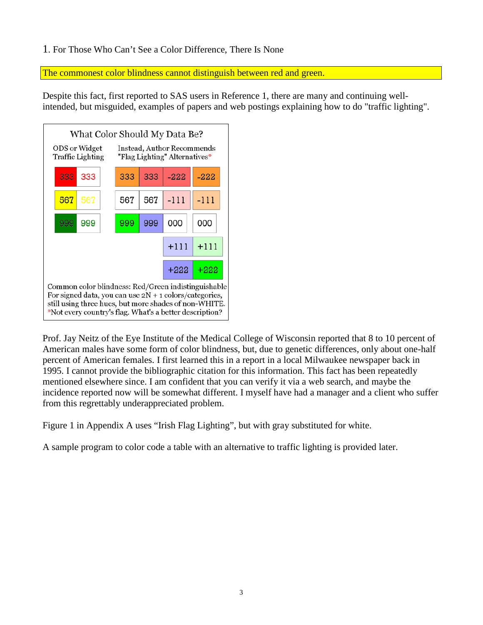#### 1. For Those Who Can't See a Color Difference, There Is None

The commonest color blindness cannot distinguish between red and green.

Despite this fact, first reported to SAS users in Reference 1, there are many and continuing wellintended, but misguided, examples of papers and web postings explaining how to do "traffic lighting".



Prof. Jay Neitz of the Eye Institute of the Medical College of Wisconsin reported that 8 to 10 percent of American males have some form of color blindness, but, due to genetic differences, only about one-half percent of American females. I first learned this in a report in a local Milwaukee newspaper back in 1995. I cannot provide the bibliographic citation for this information. This fact has been repeatedly mentioned elsewhere since. I am confident that you can verify it via a web search, and maybe the incidence reported now will be somewhat different. I myself have had a manager and a client who suffer from this regrettably underappreciated problem.

Figure 1 in Appendix A uses "Irish Flag Lighting", but with gray substituted for white.

A sample program to color code a table with an alternative to traffic lighting is provided later.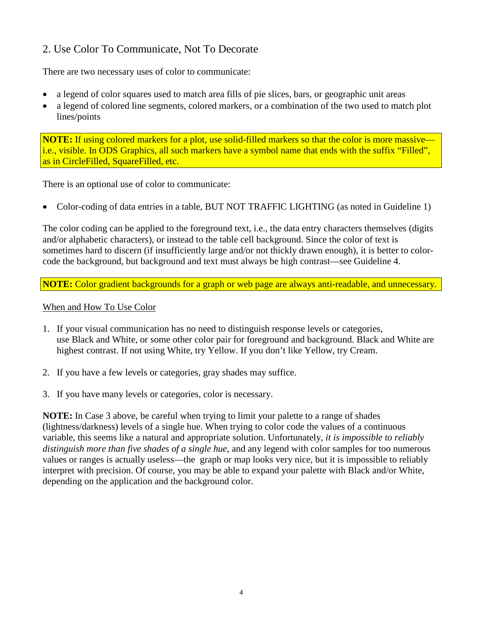## 2. Use Color To Communicate, Not To Decorate

There are two necessary uses of color to communicate:

- a legend of color squares used to match area fills of pie slices, bars, or geographic unit areas
- a legend of colored line segments, colored markers, or a combination of the two used to match plot lines/points

**NOTE:** If using colored markers for a plot, use solid-filled markers so that the color is more massive i.e., visible. In ODS Graphics, all such markers have a symbol name that ends with the suffix "Filled", as in CircleFilled, SquareFilled, etc.

There is an optional use of color to communicate:

• Color-coding of data entries in a table, BUT NOT TRAFFIC LIGHTING (as noted in Guideline 1)

The color coding can be applied to the foreground text, i.e., the data entry characters themselves (digits and/or alphabetic characters), or instead to the table cell background. Since the color of text is sometimes hard to discern (if insufficiently large and/or not thickly drawn enough), it is better to colorcode the background, but background and text must always be high contrast—see Guideline 4.

**NOTE:** Color gradient backgrounds for a graph or web page are always anti-readable, and unnecessary.

#### When and How To Use Color

- 1. If your visual communication has no need to distinguish response levels or categories, use Black and White, or some other color pair for foreground and background. Black and White are highest contrast. If not using White, try Yellow. If you don't like Yellow, try Cream.
- 2. If you have a few levels or categories, gray shades may suffice.
- 3. If you have many levels or categories, color is necessary.

**NOTE:** In Case 3 above, be careful when trying to limit your palette to a range of shades (lightness/darkness) levels of a single hue. When trying to color code the values of a continuous variable, this seems like a natural and appropriate solution. Unfortunately, *it is impossible to reliably distinguish more than five shades of a single hue*, and any legend with color samples for too numerous values or ranges is actually useless—the graph or map looks very nice, but it is impossible to reliably interpret with precision. Of course, you may be able to expand your palette with Black and/or White, depending on the application and the background color.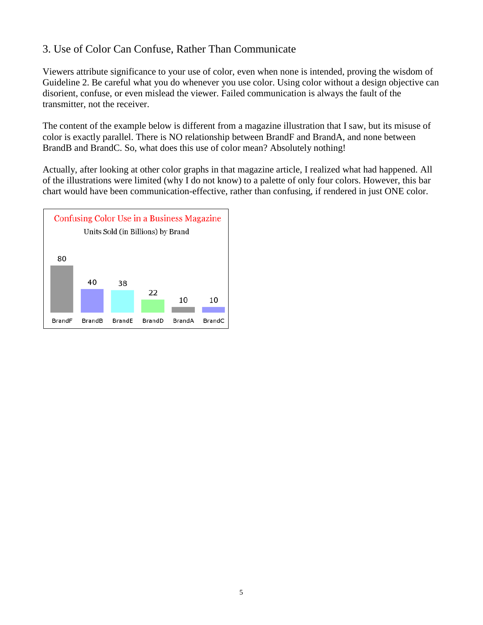## 3. Use of Color Can Confuse, Rather Than Communicate

Viewers attribute significance to your use of color, even when none is intended, proving the wisdom of Guideline 2. Be careful what you do whenever you use color. Using color without a design objective can disorient, confuse, or even mislead the viewer. Failed communication is always the fault of the transmitter, not the receiver.

The content of the example below is different from a magazine illustration that I saw, but its misuse of color is exactly parallel. There is NO relationship between BrandF and BrandA, and none between BrandB and BrandC. So, what does this use of color mean? Absolutely nothing!

Actually, after looking at other color graphs in that magazine article, I realized what had happened. All of the illustrations were limited (why I do not know) to a palette of only four colors. However, this bar chart would have been communication-effective, rather than confusing, if rendered in just ONE color.

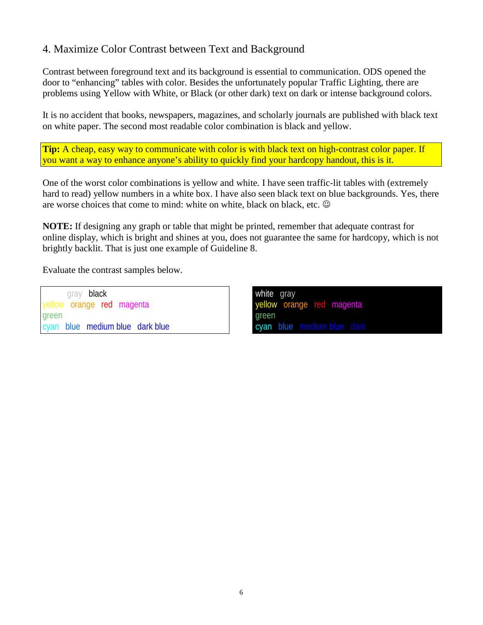## 4. Maximize Color Contrast between Text and Background

Contrast between foreground text and its background is essential to communication. ODS opened the door to "enhancing" tables with color. Besides the unfortunately popular Traffic Lighting, there are problems using Yellow with White, or Black (or other dark) text on dark or intense background colors.

It is no accident that books, newspapers, magazines, and scholarly journals are published with black text on white paper. The second most readable color combination is black and yellow.

**Tip:** A cheap, easy way to communicate with color is with black text on high-contrast color paper. If you want a way to enhance anyone's ability to quickly find your hardcopy handout, this is it.

One of the worst color combinations is yellow and white. I have seen traffic-lit tables with (extremely hard to read) yellow numbers in a white box. I have also seen black text on blue backgrounds. Yes, there are worse choices that come to mind: white on white, black on black, etc.

**NOTE:** If designing any graph or table that might be printed, remember that adequate contrast for online display, which is bright and shines at you, does not guarantee the same for hardcopy, which is not brightly backlit. That is just one example of Guideline 8.

Evaluate the contrast samples below.

gray black yellow orange red magenta green cyan blue medium blue dark blue white gray yellow orange red magenta green cyan blue medium blue dark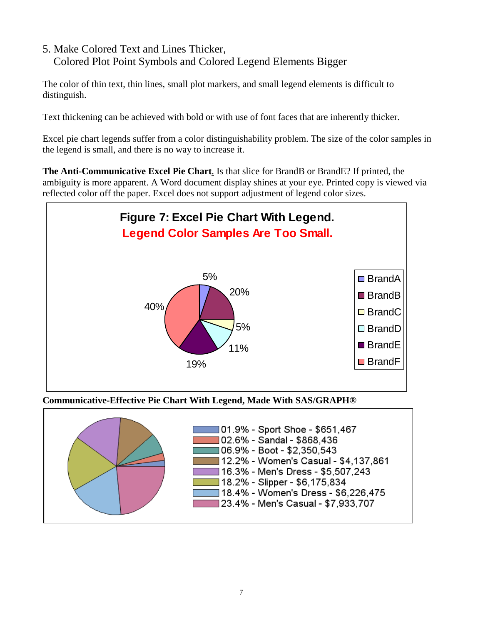### 5. Make Colored Text and Lines Thicker, Colored Plot Point Symbols and Colored Legend Elements Bigger

The color of thin text, thin lines, small plot markers, and small legend elements is difficult to distinguish.

Text thickening can be achieved with bold or with use of font faces that are inherently thicker.

Excel pie chart legends suffer from a color distinguishability problem. The size of the color samples in the legend is small, and there is no way to increase it.

**The Anti-Communicative Excel Pie Chart**. Is that slice for BrandB or BrandE? If printed, the ambiguity is more apparent. A Word document display shines at your eye. Printed copy is viewed via reflected color off the paper. Excel does not support adjustment of legend color sizes.



**Communicative-Effective Pie Chart With Legend, Made With SAS/GRAPH®**

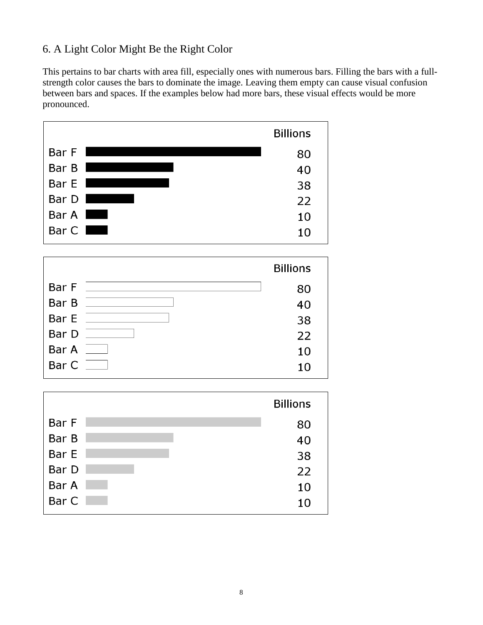## 6. A Light Color Might Be the Right Color

This pertains to bar charts with area fill, especially ones with numerous bars. Filling the bars with a fullstrength color causes the bars to dominate the image. Leaving them empty can cause visual confusion between bars and spaces. If the examples below had more bars, these visual effects would be more pronounced.

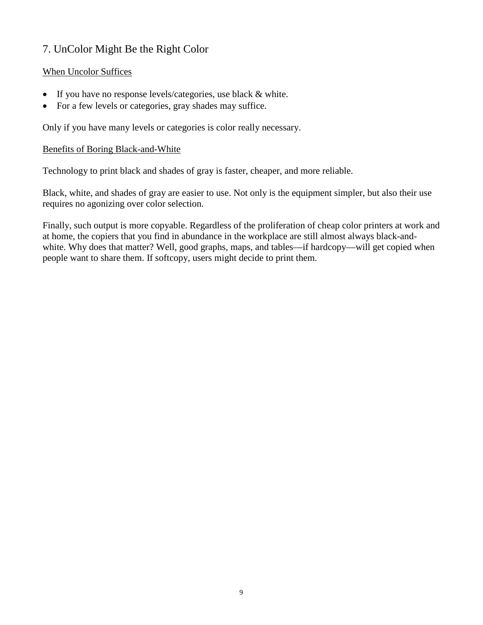# 7. UnColor Might Be the Right Color

#### When Uncolor Suffices

- If you have no response levels/categories, use black & white.
- For a few levels or categories, gray shades may suffice.

Only if you have many levels or categories is color really necessary.

#### Benefits of Boring Black-and-White

Technology to print black and shades of gray is faster, cheaper, and more reliable.

Black, white, and shades of gray are easier to use. Not only is the equipment simpler, but also their use requires no agonizing over color selection.

Finally, such output is more copyable. Regardless of the proliferation of cheap color printers at work and at home, the copiers that you find in abundance in the workplace are still almost always black-andwhite. Why does that matter? Well, good graphs, maps, and tables—if hardcopy—will get copied when people want to share them. If softcopy, users might decide to print them.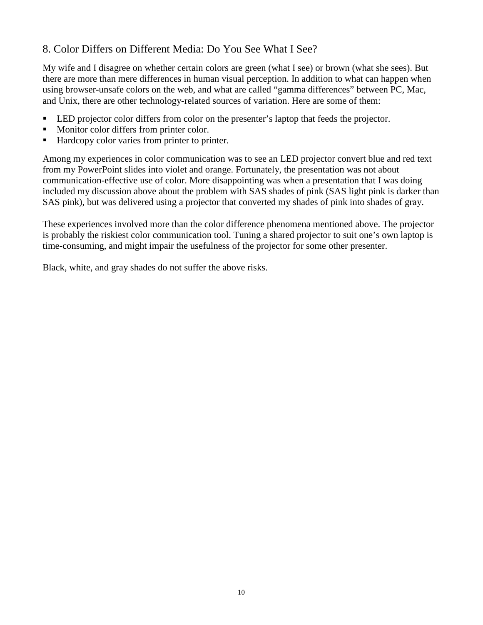## 8. Color Differs on Different Media: Do You See What I See?

My wife and I disagree on whether certain colors are green (what I see) or brown (what she sees). But there are more than mere differences in human visual perception. In addition to what can happen when using browser-unsafe colors on the web, and what are called "gamma differences" between PC, Mac, and Unix, there are other technology-related sources of variation. Here are some of them:

- LED projector color differs from color on the presenter's laptop that feeds the projector.
- Monitor color differs from printer color.
- Hardcopy color varies from printer to printer.

Among my experiences in color communication was to see an LED projector convert blue and red text from my PowerPoint slides into violet and orange. Fortunately, the presentation was not about communication-effective use of color. More disappointing was when a presentation that I was doing included my discussion above about the problem with SAS shades of pink (SAS light pink is darker than SAS pink), but was delivered using a projector that converted my shades of pink into shades of gray.

These experiences involved more than the color difference phenomena mentioned above. The projector is probably the riskiest color communication tool. Tuning a shared projector to suit one's own laptop is time-consuming, and might impair the usefulness of the projector for some other presenter.

Black, white, and gray shades do not suffer the above risks.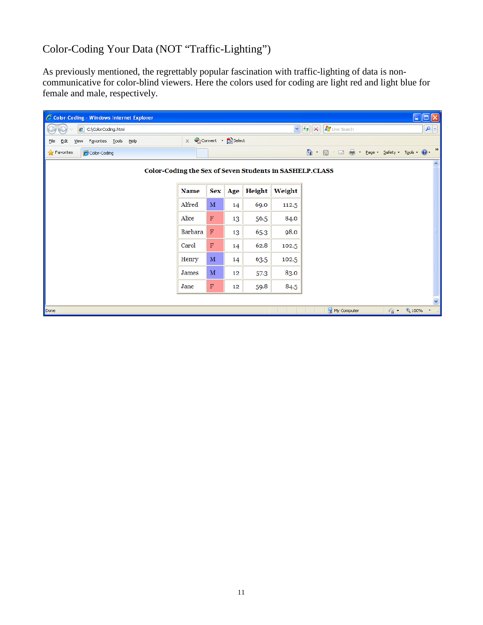# Color-Coding Your Data (NOT "Traffic-Lighting")

As previously mentioned, the regrettably popular fascination with traffic-lighting of data is noncommunicative for color-blind viewers. Here the colors used for coding are light red and light blue for female and male, respectively.

| Color-Coding - Windows Internet Explorer                                    |             |              |                  |        |        |                          | $\Box$ ok                |
|-----------------------------------------------------------------------------|-------------|--------------|------------------|--------|--------|--------------------------|--------------------------|
| C:\ColorCoding.html                                                         |             |              |                  |        |        | Live Search<br>$v$ + $x$ | $\mathbf{p}$             |
| Favorites Tools Help<br>Edit<br><b>View</b><br>Eile                         | $\times$    |              | Convert R Select |        |        |                          |                          |
| $\leftrightarrow$ Favorites<br>Color-Coding                                 |             |              |                  |        |        |                          | $\rightarrow$            |
| $\blacktriangle$<br>Color-Coding the Sex of Seven Students in SASHELP.CLASS |             |              |                  |        |        |                          |                          |
|                                                                             | <b>Name</b> | <b>Sex</b>   | Age              | Height | Weight |                          |                          |
|                                                                             | Alfred      | $\mathbf{M}$ | 14               | 69.0   | 112.5  |                          |                          |
|                                                                             | Alice       | $\mathbf F$  | 13               | 56.5   | 84.0   |                          |                          |
|                                                                             | Barbara     | $\mathbf F$  | 13               | 65.3   | 98.0   |                          |                          |
|                                                                             | Carol       | F            | 14               | 62.8   | 102.5  |                          |                          |
|                                                                             | Henry       | $\mathbf{M}$ | 14               | 63.5   | 102.5  |                          |                          |
|                                                                             | James       | $\mathbf{M}$ | 12               | 57.3   | 83.0   |                          |                          |
|                                                                             | Jane        | F            | 12               | 59.8   | 84.5   |                          |                          |
|                                                                             |             |              |                  |        |        |                          |                          |
| Done                                                                        |             |              |                  |        |        | My Computer              | $\frac{1}{2}$ - 2,100% - |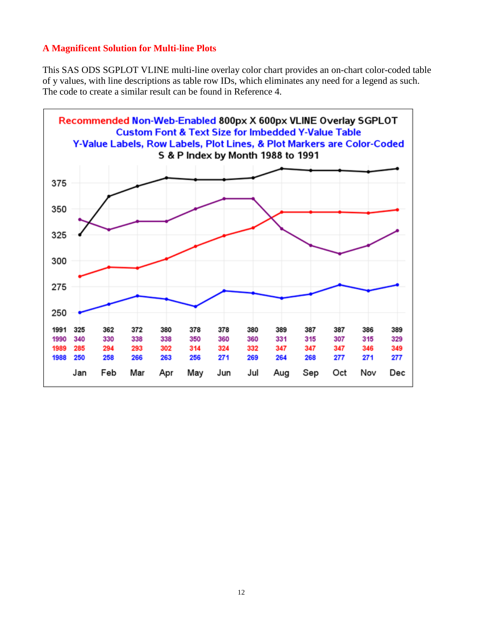#### **A Magnificent Solution for Multi-line Plots**

This SAS ODS SGPLOT VLINE multi-line overlay color chart provides an on-chart color-coded table of y values, with line descriptions as table row IDs, which eliminates any need for a legend as such. The code to create a similar result can be found in Reference 4.

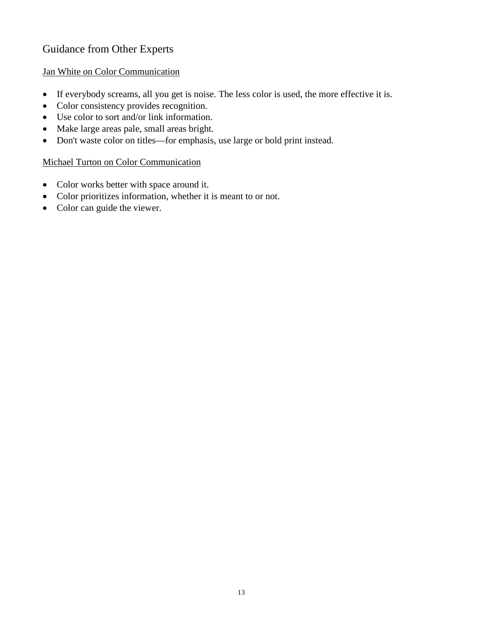# Guidance from Other Experts

#### Jan White on Color Communication

- If everybody screams, all you get is noise. The less color is used, the more effective it is.
- Color consistency provides recognition.
- Use color to sort and/or link information.
- Make large areas pale, small areas bright.
- Don't waste color on titles—for emphasis, use large or bold print instead.

#### Michael Turton on Color Communication

- Color works better with space around it.
- Color prioritizes information, whether it is meant to or not.
- Color can guide the viewer.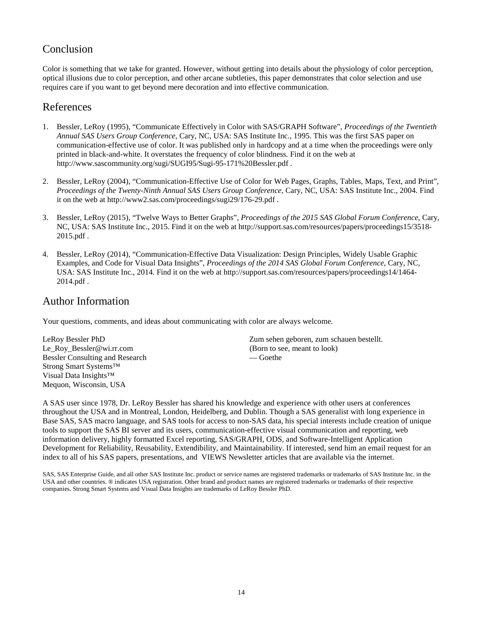### Conclusion

Color is something that we take for granted. However, without getting into details about the physiology of color perception, optical illusions due to color perception, and other arcane subtleties, this paper demonstrates that color selection and use requires care if you want to get beyond mere decoration and into effective communication.

#### References

- 1. Bessler, LeRoy (1995), "Communicate Effectively in Color with SAS/GRAPH Software", *Proceedings of the Twentieth Annual SAS Users Group Conference*, Cary, NC, USA: SAS Institute Inc., 1995. This was the first SAS paper on communication-effective use of color. It was published only in hardcopy and at a time when the proceedings were only printed in black-and-white. It overstates the frequency of color blindness. Find it on the web at http://www.sascommunity.org/sugi/SUGI95/Sugi-95-171%20Bessler.pdf .
- 2. Bessler, LeRoy (2004), "Communication-Effective Use of Color for Web Pages, Graphs, Tables, Maps, Text, and Print", *Proceedings of the Twenty-Ninth Annual SAS Users Group Conference*, Cary, NC, USA: SAS Institute Inc., 2004. Find it on the web at http://www2.sas.com/proceedings/sugi29/176-29.pdf .
- 3. Bessler, LeRoy (2015), "Twelve Ways to Better Graphs", *Proceedings of the 2015 SAS Global Forum Conference*, Cary, NC, USA: SAS Institute Inc., 2015. Find it on the web at http://support.sas.com/resources/papers/proceedings15/3518- 2015.pdf .
- 4. Bessler, LeRoy (2014), "Communication-Effective Data Visualization: Design Principles, Widely Usable Graphic Examples, and Code for Visual Data Insights", *Proceedings of the 2014 SAS Global Forum Conference*, Cary, NC, USA: SAS Institute Inc., 2014. Find it on the web at http://support.sas.com/resources/papers/proceedings14/1464- 2014.pdf .

#### Author Information

Your questions, comments, and ideas about communicating with color are always welcome.

Le\_Roy\_Bessler@wi.rr.com (Born to see, meant to look)<br>Bessler Consulting and Research — Goethe — Goethe Bessler Consulting and Research Strong Smart Systems™ Visual Data Insights™ Mequon, Wisconsin, USA

LeRoy Bessler PhD Zum sehen geboren, zum schauen bestellt.

A SAS user since 1978, Dr. LeRoy Bessler has shared his knowledge and experience with other users at conferences throughout the USA and in Montreal, London, Heidelberg, and Dublin. Though a SAS generalist with long experience in Base SAS, SAS macro language, and SAS tools for access to non-SAS data, his special interests include creation of unique tools to support the SAS BI server and its users, communication-effective visual communication and reporting, web information delivery, highly formatted Excel reporting, SAS/GRAPH, ODS, and Software-Intelligent Application Development for Reliability, Reusability, Extendibility, and Maintainability. If interested, send him an email request for an index to all of his SAS papers, presentations, and VIEWS Newsletter articles that are available via the internet.

SAS, SAS Enterprise Guide, and all other SAS Institute Inc. product or service names are registered trademarks or trademarks of SAS Institute Inc. in the USA and other countries. ® indicates USA registration. Other brand and product names are registered trademarks or trademarks of their respective companies. Strong Smart Systems and Visual Data Insights are trademarks of LeRoy Bessler PhD.